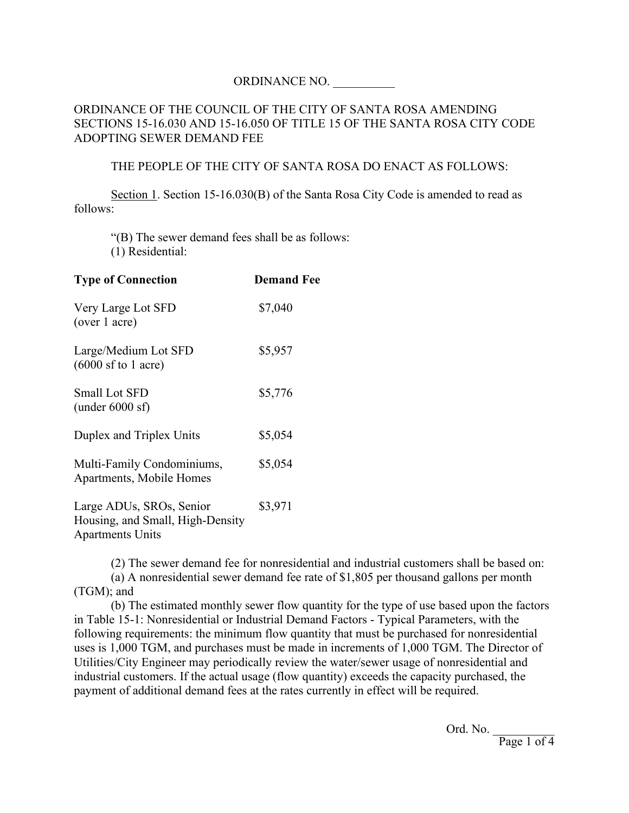## ORDINANCE NO. \_\_\_\_\_\_\_\_\_\_

## ORDINANCE OF THE COUNCIL OF THE CITY OF SANTA ROSA AMENDING SECTIONS 15-16.030 AND 15-16.050 OF TITLE 15 OF THE SANTA ROSA CITY CODE ADOPTING SEWER DEMAND FEE

## THE PEOPLE OF THE CITY OF SANTA ROSA DO ENACT AS FOLLOWS:

Section 1. Section 15-16.030(B) of the Santa Rosa City Code is amended to read as follows:

"(B) The sewer demand fees shall be as follows: (1) Residential:

| <b>Type of Connection</b>                                    | <b>Demand Fee</b> |
|--------------------------------------------------------------|-------------------|
| Very Large Lot SFD<br>(over 1 acre)                          | \$7,040           |
| Large/Medium Lot SFD<br>$(6000$ sf to 1 acre)                | \$5,957           |
| <b>Small Lot SFD</b><br>(under $6000$ sf)                    | \$5,776           |
| Duplex and Triplex Units                                     | \$5,054           |
| Multi-Family Condominiums,<br>Apartments, Mobile Homes       | \$5,054           |
| Large ADUs, SROs, Senior<br>Housing, and Small, High-Density | \$3,971           |

Apartments Units

(2) The sewer demand fee for nonresidential and industrial customers shall be based on:

(a) A nonresidential sewer demand fee rate of \$1,805 per thousand gallons per month (TGM); and

(b) The estimated monthly sewer flow quantity for the type of use based upon the factors in Table 15-1: Nonresidential or Industrial Demand Factors - Typical Parameters, with the following requirements: the minimum flow quantity that must be purchased for nonresidential uses is 1,000 TGM, and purchases must be made in increments of 1,000 TGM. The Director of Utilities/City Engineer may periodically review the water/sewer usage of nonresidential and industrial customers. If the actual usage (flow quantity) exceeds the capacity purchased, the payment of additional demand fees at the rates currently in effect will be required.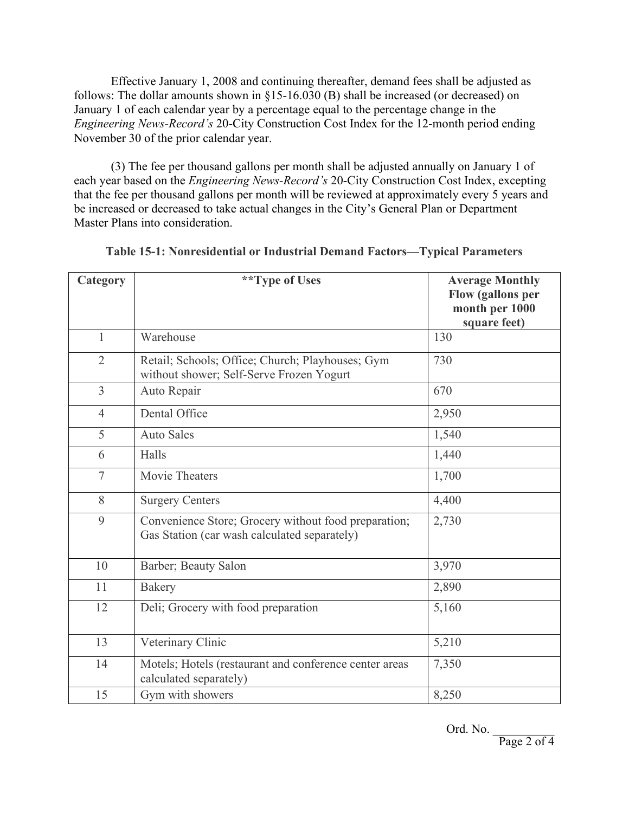Effective January 1, 2008 and continuing thereafter, demand fees shall be adjusted as follows: The dollar amounts shown in §15-16.030 (B) shall be increased (or decreased) on January 1 of each calendar year by a percentage equal to the percentage change in the *Engineering News-Record's* 20-City Construction Cost Index for the 12-month period ending November 30 of the prior calendar year.

(3) The fee per thousand gallons per month shall be adjusted annually on January 1 of each year based on the *Engineering News-Record's* 20-City Construction Cost Index, excepting that the fee per thousand gallons per month will be reviewed at approximately every 5 years and be increased or decreased to take actual changes in the City's General Plan or Department Master Plans into consideration.

| Category       | **Type of Uses                                                                                       | <b>Average Monthly</b><br><b>Flow (gallons per</b><br>month per 1000<br>square feet) |
|----------------|------------------------------------------------------------------------------------------------------|--------------------------------------------------------------------------------------|
| $\mathbf{1}$   | Warehouse                                                                                            | 130                                                                                  |
| $\overline{2}$ | Retail; Schools; Office; Church; Playhouses; Gym<br>without shower; Self-Serve Frozen Yogurt         | 730                                                                                  |
| $\overline{3}$ | Auto Repair                                                                                          | 670                                                                                  |
| $\overline{4}$ | Dental Office                                                                                        | 2,950                                                                                |
| 5              | <b>Auto Sales</b>                                                                                    | 1,540                                                                                |
| 6              | Halls                                                                                                | 1,440                                                                                |
| $\tau$         | Movie Theaters                                                                                       | 1,700                                                                                |
| 8              | <b>Surgery Centers</b>                                                                               | 4,400                                                                                |
| 9              | Convenience Store; Grocery without food preparation;<br>Gas Station (car wash calculated separately) | 2,730                                                                                |
| 10             | Barber; Beauty Salon                                                                                 | 3,970                                                                                |
| 11             | <b>Bakery</b>                                                                                        | 2,890                                                                                |
| 12             | Deli; Grocery with food preparation                                                                  | 5,160                                                                                |
| 13             | Veterinary Clinic                                                                                    | 5,210                                                                                |
| 14             | Motels; Hotels (restaurant and conference center areas<br>calculated separately)                     | 7,350                                                                                |
| 15             | Gym with showers                                                                                     | 8,250                                                                                |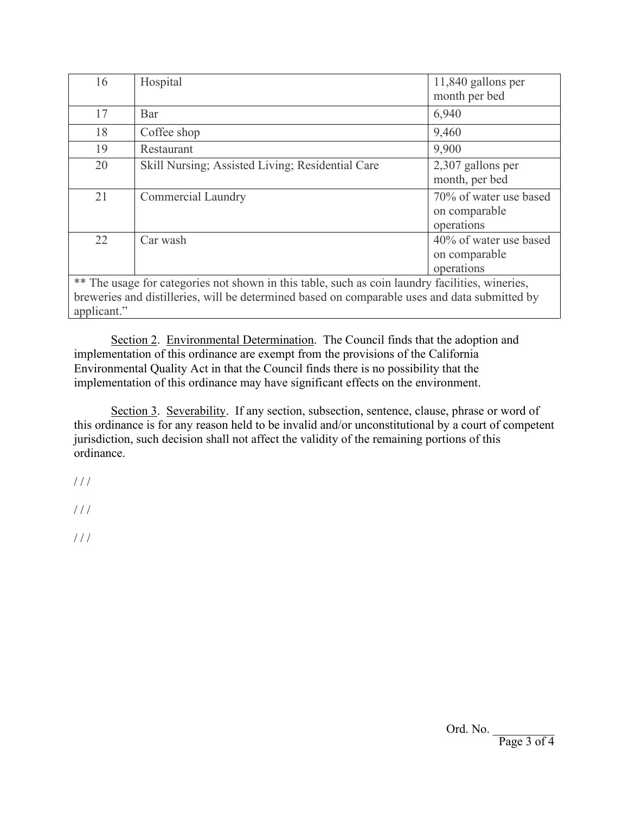| 16                                                                                                                                                                                               | Hospital                                         | 11,840 gallons per<br>month per bed                   |  |
|--------------------------------------------------------------------------------------------------------------------------------------------------------------------------------------------------|--------------------------------------------------|-------------------------------------------------------|--|
| 17                                                                                                                                                                                               | Bar                                              | 6,940                                                 |  |
| 18                                                                                                                                                                                               | Coffee shop                                      | 9,460                                                 |  |
| 19                                                                                                                                                                                               | Restaurant                                       | 9,900                                                 |  |
| 20                                                                                                                                                                                               | Skill Nursing; Assisted Living; Residential Care | 2,307 gallons per<br>month, per bed                   |  |
| 21                                                                                                                                                                                               | <b>Commercial Laundry</b>                        | 70% of water use based<br>on comparable<br>operations |  |
| 22                                                                                                                                                                                               | Car wash                                         | 40% of water use based<br>on comparable<br>operations |  |
| ** The usage for categories not shown in this table, such as coin laundry facilities, wineries,<br>breweries and distilleries, will be determined based on comparable uses and data submitted by |                                                  |                                                       |  |

applicant."

Section 2. Environmental Determination. The Council finds that the adoption and implementation of this ordinance are exempt from the provisions of the California Environmental Quality Act in that the Council finds there is no possibility that the implementation of this ordinance may have significant effects on the environment.

Section 3. Severability. If any section, subsection, sentence, clause, phrase or word of this ordinance is for any reason held to be invalid and/or unconstitutional by a court of competent jurisdiction, such decision shall not affect the validity of the remaining portions of this ordinance.

 $1/1$ 

///  $\,$ 

 $1/1$